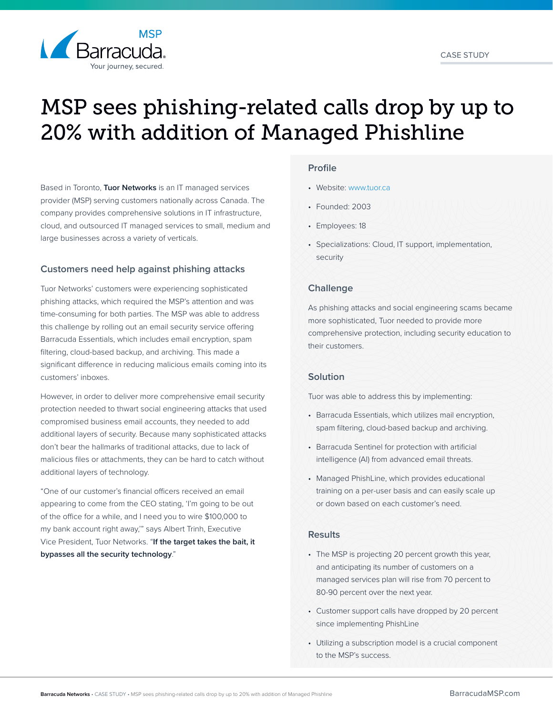

# MSP sees phishing-related calls drop by up to 20% with addition of Managed Phishline

Based in Toronto, **Tuor Networks** is an IT managed services provider (MSP) serving customers nationally across Canada. The company provides comprehensive solutions in IT infrastructure, cloud, and outsourced IT managed services to small, medium and large businesses across a variety of verticals.

# **Customers need help against phishing attacks**

Tuor Networks' customers were experiencing sophisticated phishing attacks, which required the MSP's attention and was time-consuming for both parties. The MSP was able to address this challenge by rolling out an email security service offering Barracuda Essentials, which includes email encryption, spam filtering, cloud-based backup, and archiving. This made a significant difference in reducing malicious emails coming into its customers' inboxes.

However, in order to deliver more comprehensive email security protection needed to thwart social engineering attacks that used compromised business email accounts, they needed to add additional layers of security. Because many sophisticated attacks don't bear the hallmarks of traditional attacks, due to lack of malicious files or attachments, they can be hard to catch without additional layers of technology.

"One of our customer's financial officers received an email appearing to come from the CEO stating, 'I'm going to be out of the office for a while, and I need you to wire \$100,000 to my bank account right away,'" says Albert Trinh, Executive Vice President, Tuor Networks. "**If the target takes the bait, it bypasses all the security technology**."

## **Profile**

- Website: [www.tuor.ca](http://www.tuor.ca)
- Founded: 2003
- Employees: 18
- Specializations: Cloud, IT support, implementation, security

# **Challenge**

As phishing attacks and social engineering scams became more sophisticated, Tuor needed to provide more comprehensive protection, including security education to their customers.

# **Solution**

Tuor was able to address this by implementing:

- Barracuda Essentials, which utilizes mail encryption, spam filtering, cloud-based backup and archiving.
- Barracuda Sentinel for protection with artificial intelligence (AI) from advanced email threats.
- Managed PhishLine, which provides educational training on a per-user basis and can easily scale up or down based on each customer's need.

# **Results**

- The MSP is projecting 20 percent growth this year, and anticipating its number of customers on a managed services plan will rise from 70 percent to 80-90 percent over the next year.
- Customer support calls have dropped by 20 percent since implementing PhishLine
- Utilizing a subscription model is a crucial component to the MSP's success.